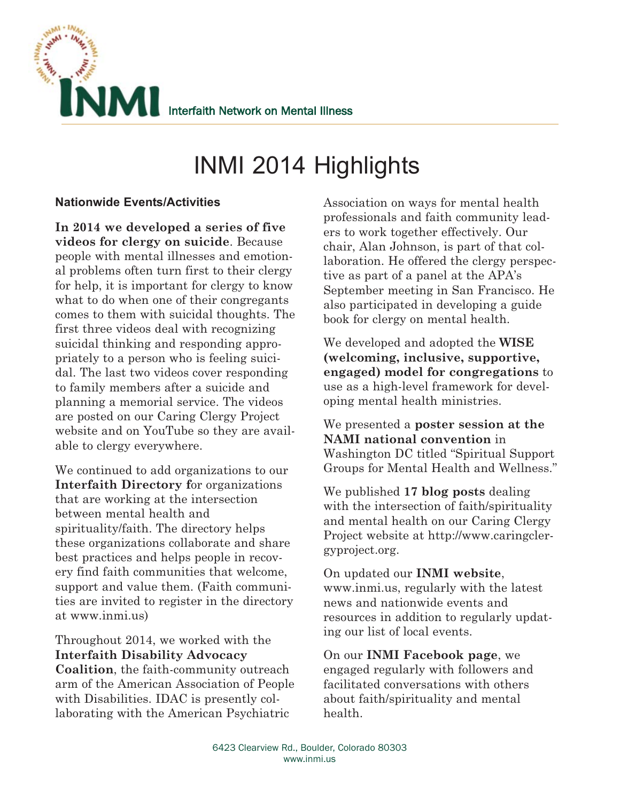

# INMI 2014 Highlights

## **Nationwide Events/Activities**

**In 2014 we developed a series of five videos for clergy on suicide**. Because people with mental illnesses and emotional problems often turn first to their clergy for help, it is important for clergy to know what to do when one of their congregants comes to them with suicidal thoughts. The first three videos deal with recognizing suicidal thinking and responding appropriately to a person who is feeling suicidal. The last two videos cover responding to family members after a suicide and planning a memorial service. The videos are posted on our Caring Clergy Project website and on YouTube so they are available to clergy everywhere.

We continued to add organizations to our **Interfaith Directory f**or organizations that are working at the intersection between mental health and spirituality/faith. The directory helps these organizations collaborate and share best practices and helps people in recovery find faith communities that welcome, support and value them. (Faith communities are invited to register in the directory at www.inmi.us)

Throughout 2014, we worked with the **Interfaith Disability Advocacy Coalition**, the faith-community outreach arm of the American Association of People with Disabilities. IDAC is presently collaborating with the American Psychiatric

Association on ways for mental health professionals and faith community leaders to work together effectively. Our chair, Alan Johnson, is part of that collaboration. He offered the clergy perspective as part of a panel at the APA's September meeting in San Francisco. He also participated in developing a guide book for clergy on mental health.

We developed and adopted the **WISE (welcoming, inclusive, supportive, engaged) model for congregations** to use as a high-level framework for developing mental health ministries.

We presented a **poster session at the NAMI national convention** in Washington DC titled "Spiritual Support Groups for Mental Health and Wellness."

We published **17 blog posts** dealing with the intersection of faith/spirituality and mental health on our Caring Clergy Project website at http://www.caringclergyproject.org.

On updated our **INMI website**, www.inmi.us, regularly with the latest news and nationwide events and resources in addition to regularly updating our list of local events.

On our **INMI Facebook page**, we engaged regularly with followers and facilitated conversations with others about faith/spirituality and mental health.